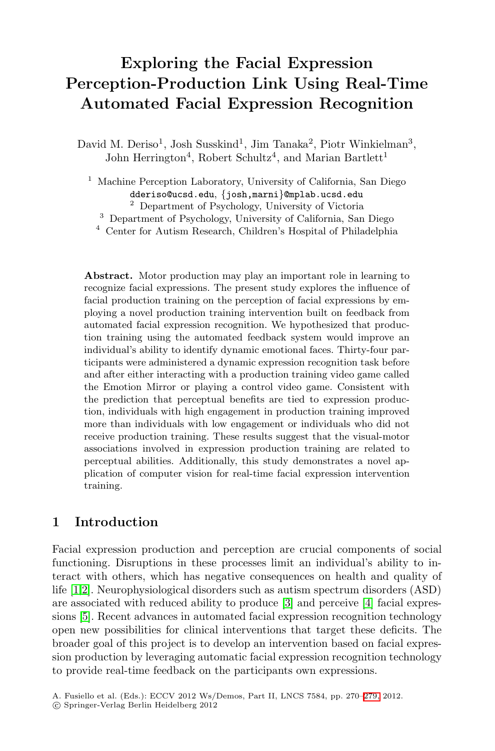# **Exploring the Facial Expression Perception-Production Link Using Real-Time Automated Facial Expression Recognition**

David M. Deriso<sup>1</sup>, Josh Susskind<sup>1</sup>, Jim Tanaka<sup>2</sup>, Piotr Winkielman<sup>3</sup>, John Herrington<sup>4</sup>, Robert Schultz<sup>4</sup>, and Marian Bartlett<sup>1</sup>

 $^{\rm 1}$  Machine Perception Laboratory, University of California, San Diego dderiso@ucsd.edu, *{*josh,marni}@mplab.ucsd.edu<sup>2</sup> Department of Psychology, University of Victoria

<sup>3</sup> Department of Psychology, University of California, San Diego

<sup>4</sup> Center for Autism Research, Children's Hospital of Philadelphia

**Abstract.** Motor production may play an important role in learning to recognize facial expressions. The present study explores the influence of facial production training on the perception of facial expressions by employing a novel production training intervention built on feedback from automated facial expression recognition. We hypothesized that production training using the automated feedback system would improve an individual's ability to identify dynamic emotional faces. Thirty-four participants were administered a dynamic expression recognition task before and after either interacting with a production training video game called the Emotion Mirror or playing a control video game. Consistent with the prediction that perceptual benefits are tied to expression production, individuals with high engagement in production training improved more than individuals with low engagement or individuals who did not receive production training. These results suggest that the visual-motor associations involved in expression production training are related to perceptual abilities. Additionally, this study demonstrates a novel application of computer vision for real-time facial expression intervention training.

# **1 Introduction**

Facial expression production and perception are crucial components of social functioning. Disruptions in these processes limit an individual's ability to interact with others, which has negative consequences on health and quality of life [1,2]. Neurophysiological disorders such as [aut](#page-9-0)ism spectrum disorders (ASD) are associated with reduced ability to produce [3] and perceive [4] facial expressions [5]. Recent advances in automated facial expression recognition technology open new possibilities for clinical interventions that target these deficits. The broader goal of this project is to develop an intervention based on facial expression production by leveraging automatic facial expression recognition technology to provide real-time feedback on the participants own expressions.

A. Fusiello et al. (Eds.): ECCV 2012 Ws/Demos, Part II, LNCS 7584, pp. 270–279, 2012.

<sup>-</sup>c Springer-Verlag Berlin Heidelberg 2012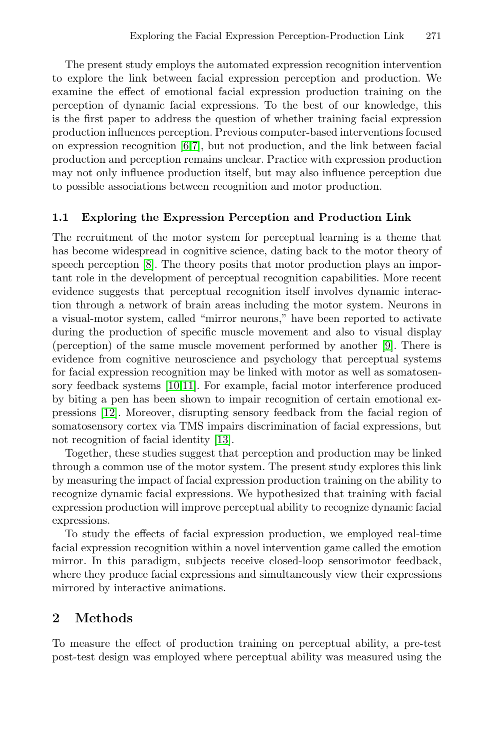The present study employs the automated expression recognition intervention to explore the link between facial expression perception and production. We examine the effect of emotional facial expression production training on the perception of dynamic facial expressions. To the best of our knowledge, this is the first paper to address the question of whether training facial expression production influences perception. Previous computer-based interventions focused on expression recognition [6,7], but not production, and the link between facial [pro](#page-9-1)duction and perception remains unclear. Practice with expression production may not only influence production itself, but may also influence perception due to possible associations between recognition and motor production.

## **1.1 Exploring the Expression Perception and Production Link**

The recruitment of the motor system for percep[tu](#page-9-2)al learning is a theme that has become widespread in cognitive science, dating back to the motor theory of speech perception [8]. The theory posits that motor production plays an important [role](#page-9-3) [in](#page-9-4) the development of perceptual recognition capabilities. More recent evidence suggests that perceptual recognition itself involves dynamic interaction through a network of brain areas including the motor system. Neurons in a visual-motor system, called "mirror neurons," have been reported to activate during the pro[duc](#page-9-5)tion of specific muscle movement and also to visual display (perception) of the same muscle movement performed by another [9]. There is evidence from cognitive neuroscience and psychology that perceptual systems for facial expression recognition may be linked with motor as well as somatosensory feedback systems [10,11]. For example, facial motor interference produced by biting a pen has been shown to impair recognition of certain emotional expressions [12]. Moreover, disrupting sensory feedback from the facial region of somatosensory cortex via TMS impairs discrimination of facial expressions, but not recognition of facial identity [13].

Together, these studies suggest that perception and production may be linked through a common use of the motor system. The present study explores this link by measuring the impact of facial expression production training on the ability to recognize dynamic facial expressions. We hypothesized that training with facial expression production will improve perceptual ability to recognize dynamic facial expressions.

To study the effects of facial expression production, we employed real-time facial expression recognition within a novel intervention game called the emotion mirror. In this paradigm, subjects receive closed-loop sensorimotor feedback, where they produce facial expressions and simultaneously view their expressions mirrored by interactive animations.

# **2 Methods**

To measure the effect of production training on perceptual ability, a pre-test post-test design was employed where perceptual ability was measured using the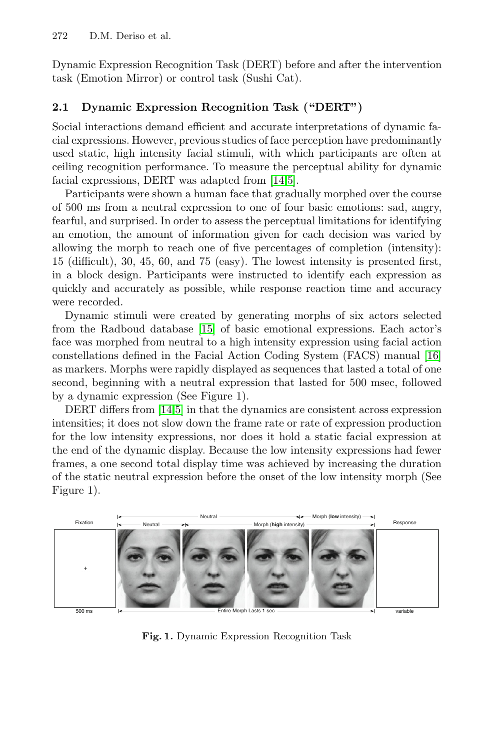### 272 D.M. Deriso et al.

Dynamic Expression Recognition Task (DERT) before and after the intervention task (Emotion Mirror) or [con](#page-9-6)[tro](#page-9-7)l task (Sushi Cat).

## **2.1 Dynamic Expression Recognition Task ("DERT")**

Social interactions demand efficient and accurate interpretations of dynamic facial expressions. However, previous studies of face perception have predominantly used static, high intensity facial stimuli, with which participants are often at ceiling recognition performance. To measure the perceptual ability for dynamic facial expressions, DERT was adapted from [14,5].

Participants were shown a human face that gradually morphed over the course of 500 ms from a neutral expression to one of four basic emotions: sad, angry, fearful, and [surp](#page-9-8)rised. In order to assess the perceptual limitations for identifying an emotion, the amount of information given for each decision was varied by allowing the morph to reach one of five percentages of c[omp](#page-9-9)letion (intensity): 15 (difficult), 30, 45, 60, and 75 (easy). The lowest intensity is presented first, in a block design. Participants were instructed to identify each expression as quickly and accurately as possible, while response reaction time and accuracy wer[e re](#page-9-6)[co](#page-9-7)rded.

Dynamic stimuli were created by generating morphs of six actors selected from the Radboud database [15] of basic emotional expressions. Each actor's face was morphed from neutral to a high intensity expression using facial action constellations defined in the Facial Action Coding System (FACS) manual [16] as markers. Morphs were rapidly displayed as sequences that lasted a total of one second, beginning with a neutral expression that lasted for 500 msec, followed by a dynamic expression (See Figure 1).

DERT differs from [14,5] in that the dynamics are consistent across expression intensities; it does not slow down the frame rate or rate of expression production for the low intensity expressions, nor does it hold a static facial expression at the end of the dynamic display. Because the low intensity expressions had fewer frames, a one second total display time was achieved by increasing the duration of the static neutral expression before the onset of the low intensity morph (See Figure 1).



**Fig. 1.** Dynamic Expression Recognition Task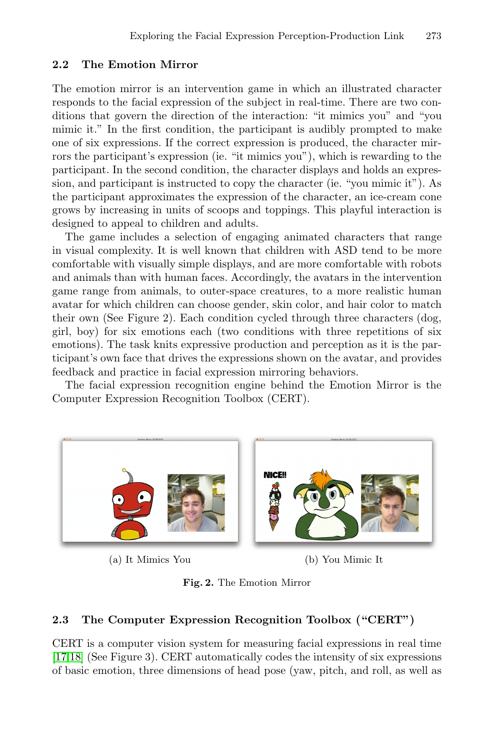# **2.2 The Emotion Mirror**

The emotion mirror is an intervention game in which an illustrated character responds to the facial expression of the subject in real-time. There are two conditions that govern the direction of the interaction: "it mimics you" and "you mimic it." In the first condition, the participant is audibly prompted to make one of six expressions. If the correct expression is produced, the character mirrors the participant's expression (ie. "it mimics you"), which is rewarding to the participant. In the second condition, the character displays and holds an expression, and participant is instructed to copy the character (ie. "you mimic it"). As the participant approximates the expression of the character, an ice-cream cone grows by increasing in units of scoops and toppings. This playful interaction is designed to appeal to children and adults.

The game includes a selection of engaging animated characters that range in visual complexity. It is well known that children with ASD tend to be more comfortable with visually simple displays, and are more comfortable with robots and animals than with human faces. Accordingly, the avatars in the intervention game range from animals, to outer-space creatures, to a more realistic human avatar for which children can choose gender, skin color, and hair color to match their own (See Figure 2). Each condition cycled through three characters (dog, girl, boy) for six emotions each (two conditions with three repetitions of six emotions). The task knits expressive production and perception as it is the participant's own face that drives the expressions shown on the avatar, and provides feedback and practice in facial expression mirroring behaviors.

The facial expression recognition engine behind the Emotion Mirror is the Computer Expression Recognition Toolbox (CERT).



(a) It Mimics You (b) You Mimic It

**Fig. 2.** The Emotion Mirror

#### **2.3 The Computer Expression Recognition Toolbox ("CERT")**

CERT is a computer vision system for measuring facial expressions in real time [17,18] (See Figure 3). CERT automatically codes the intensity of six expressions of basic emotion, three dimensions of head pose (yaw, pitch, and roll, as well as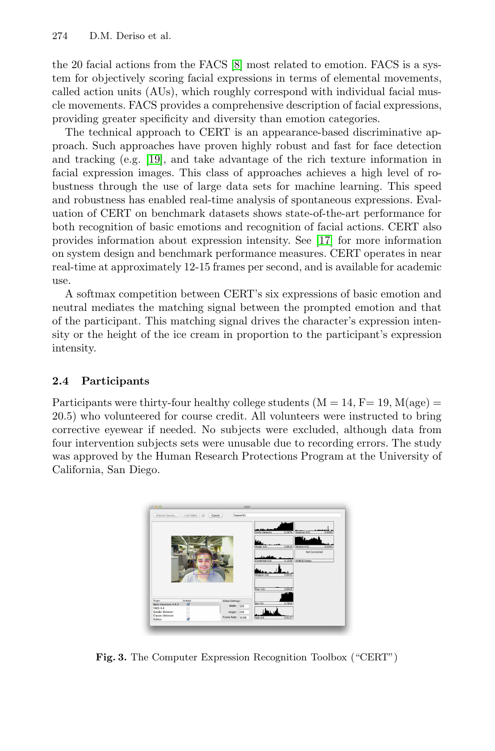#### 274 D.M. Deriso et al.

t[he](#page-9-10) [2](#page-9-10)0 facial actions from the FACS [8] most related to emotion. FACS is a system for objectively scoring facial expressions in terms of elemental movements, called action units (AUs), which roughly correspond with individual facial muscle movements. FACS provides a comprehensive description of facial expressions, providing greater specificity and diversity than emotion categories.

The technical approach to CER[T is](#page-9-11) an appearance-based discriminative approach. Such approaches have proven highly robust and fast for face detection and tracking (e.g. [19], and take advantage of the rich texture information in facial expression images. This class of approaches achieves a high level of robustness through the use of large data sets for machine learning. This speed and robustness has enabled real-time analysis of spontaneous expressions. Evaluation of CERT on benchmark datasets shows state-of-the-art performance for both recognition of basic emotions and recognition of facial actions. CERT also provides information about expression intensity. See [17] for more information on system design and benchmark performance measures. CERT operates in near real-time at approximately 12-15 frames per second, and is available for academic use.

A softmax competition between CERT's six expressions of basic emotion and neutral mediates the matching signal between the prompted emotion and that of the participant. This matching signal drives the character's expression intensity or the height of the ice cream in proportion to the participant's expression intensity.

## **2.4 Participants**

Participants were thirty-four healthy college students  $(M = 14, F = 19, M(age)$ 20.5) who volunteered for course credit. All volunteers were instructed to bring corrective eyewear if needed. No subjects were excluded, although data from four intervention subjects sets were unusable due to recording errors. The study was approved by the Human Research Protections Program at the University of California, San Diego.



**Fig. 3.** The Computer Expression Recognition Toolbox ("CERT")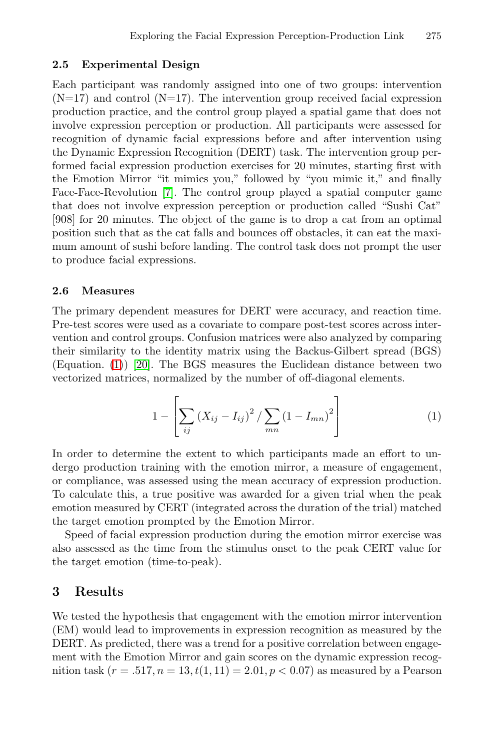#### **2.5 Experimental Design**

Each [p](#page-9-12)articipant was randomly assigned into one of two groups: intervention  $(N=17)$  and control  $(N=17)$ . The intervention group received facial expression production practice, and the control group played a spatial game that does not involve expression perception or production. All participants were assessed for recognition of dynamic facial expressions before and after intervention using the Dynamic Expression Recognition (DERT) task. The intervention group performed facial expression production exercises for 20 minutes, starting first with the Emotion Mirror "it mimics you," followed by "you mimic it," and finally Face-Face-Revolution [7]. The control group played a spatial computer game that does not involve expression perception or production called "Sushi Cat" [908] for 20 minutes. The object of the game is to drop a cat from an optimal position such that as the cat falls and bounces off obstacles, it can eat the maximum amount of sushi before landing. The control task does not prompt the user [to](#page-9-13) produce facial expressions.

#### **2.6 Measures**

The primary dependent measures for DERT were accuracy, and reaction time. Pre-test scores were used as a covariate to compare post-test scores across intervention and control groups. Confusion matrices were also analyzed by comparing their similarity to the identity matrix using the Backus-Gilbert spread (BGS) (Equation. (1)) [20]. The BGS measures the Euclidean distance between two vectorized matrices, normalized by the number of off-diagonal elements.

$$
1 - \left[ \sum_{ij} \left( X_{ij} - I_{ij} \right)^2 / \sum_{mn} \left( 1 - I_{mn} \right)^2 \right] \tag{1}
$$

In order to determine the extent to which participants made an effort to undergo production training with the emotion mirror, a measure of engagement, or compliance, was assessed using the mean accuracy of expression production. To calculate this, a true positive was awarded for a given trial when the peak emotion measured by CERT (integrated across the duration of the trial) matched the target emotion prompted by the Emotion Mirror.

Speed of facial expression production during the emotion mirror exercise was also assessed as the time from the stimulus onset to the peak CERT value for the target emotion (time-to-peak).

## **3 Results**

We tested the hypothesis that engagement with the emotion mirror intervention (EM) would lead to improvements in expression recognition as measured by the DERT. As predicted, there was a trend for a positive correlation between engagement with the Emotion Mirror and gain scores on the dynamic expression recognition task  $(r = .517, n = 13, t(1, 11) = 2.01, p < 0.07)$  as measured by a Pearson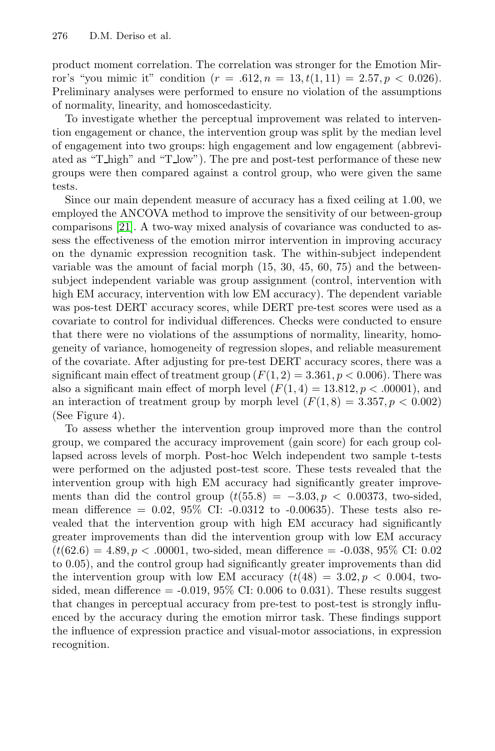#### 276 D.M. Deriso et al.

product moment correlation. The correlation was stronger for the Emotion Mirror's "you mimic it" condition  $(r = .612, n = 13, t(1, 11) = 2.57, p < 0.026)$ . Preliminary analyses were performed to ensure no violation of the assumptions of normality, linearity, and homoscedasticity.

To investigate whether the perceptual improvement was related to intervention engagement or chance, the intervention group was split by the median level of engagement into two groups: high engagement and low engagement (abbreviated as "T high" and "T low"). The pre and post-test performance of these new groups were then compared against a control group, who were given the same tests.

Since our main dependent measure of accuracy has a fixed ceiling at 1.00, we employed the ANCOVA method to improve the sensitivity of our between-group comparisons [21]. A two-way mixed analysis of covariance was conducted to assess the effectiveness of the emotion mirror intervention in improving accuracy on the dynamic expression recognition task. The within-subject independent variable was the amount of facial morph (15, 30, 45, 60, 75) and the betweensubject independent variable was group assignment (control, intervention with high EM accuracy, intervention with low EM accuracy). The dependent variable was pos-test DERT accuracy scores, while DERT pre-test scores were used as a covariate to control for individual differences. Checks were conducted to ensure that there were no violations of the assumptions of normality, linearity, homogeneity of variance, homogeneity of regression slopes, and reliable measurement of the covariate. After adjusting for pre-test DERT accuracy scores, there was a significant main effect of treatment group  $(F(1, 2) = 3.361, p < 0.006)$ . There was also a significant main effect of morph level  $(F(1, 4) = 13.812, p < .00001)$ , and an interaction of treatment group by morph level  $(F(1, 8) = 3.357, p < 0.002)$ (See Figure 4).

To assess whether the intervention group improved more than the control group, we compared the accuracy improvement (gain score) for each group collapsed across levels of morph. Post-hoc Welch independent two sample t-tests were performed on the adjusted post-test score. These tests revealed that the intervention group with high EM accuracy had significantly greater improvements than did the control group  $(t(55.8) = -3.03, p < 0.00373$ , two-sided, mean difference  $= 0.02, 95\%$  CI:  $-0.0312$  to  $-0.00635$ ). These tests also revealed that the intervention group with high EM accuracy had significantly greater improvements than did the intervention group with low EM accuracy  $(t(62.6) = 4.89, p < .00001,$  two-sided, mean difference = -0.038, 95% CI: 0.02 to 0.05), and the control group had significantly greater improvements than did the intervention group with low EM accuracy  $(t(48) = 3.02, p < 0.004,$  twosided, mean difference  $= -0.019, 95\%$  CI: 0.006 to 0.031). These results suggest that changes in perceptual accuracy from pre-test to post-test is strongly influenced by the accuracy during the emotion mirror task. These findings support the influence of expression practice and visual-motor associations, in expression recognition.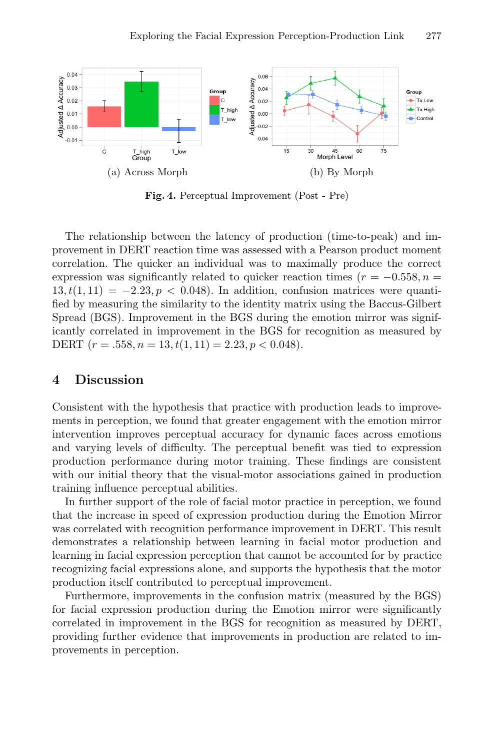

**Fig. 4.** Perceptual Improvement (Post - Pre)

The relationship between the latency of production (time-to-peak) and improvement in DERT reaction time was assessed with a Pearson product moment correlation. The quicker an individual was to maximally produce the correct expression was significantly related to quicker reaction times ( $r = -0.558, n =$  $13, t(1,11) = -2.23, p < 0.048$ . In addition, confusion matrices were quantified by measuring the similarity to the identity matrix using the Baccus-Gilbert Spread (BGS). Improvement in the BGS during the emotion mirror was significantly correlated in improvement in the BGS for recognition as measured by DERT  $(r = .558, n = 13, t(1, 11) = 2.23, p < 0.048)$ .

# **4 Discussion**

Consistent with the hypothesis that practice with production leads to improvements in perception, we found that greater engagement with the emotion mirror intervention improves perceptual accuracy for dynamic faces across emotions and varying levels of difficulty. The perceptual benefit was tied to expression production performance during motor training. These findings are consistent with our initial theory that the visual-motor associations gained in production training influence perceptual abilities.

In further support of the role of facial motor practice in perception, we found that the increase in speed of expression production during the Emotion Mirror was correlated with recognition performance improvement in DERT. This result demonstrates a relationship between learning in facial motor production and learning in facial expression perception that cannot be accounted for by practice recognizing facial expressions alone, and supports the hypothesis that the motor production itself contributed to perceptual improvement.

Furthermore, improvements in the confusion matrix (measured by the BGS) for facial expression production during the Emotion mirror were significantly correlated in improvement in the BGS for recognition as measured by DERT, providing further evidence that improvements in production are related to improvements in perception.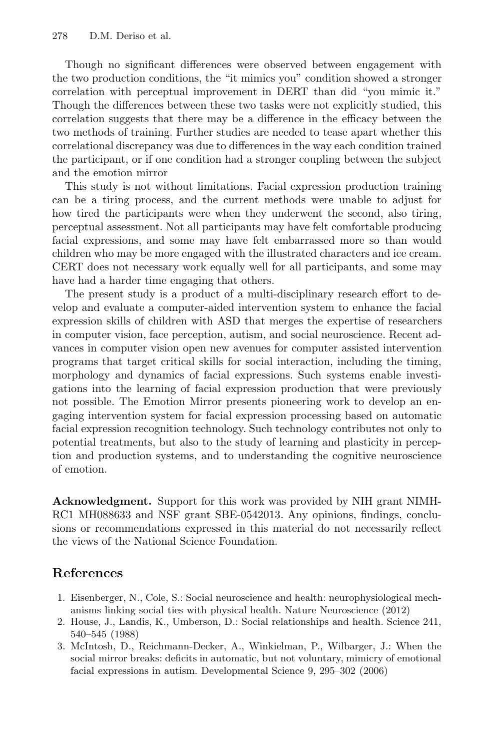Though no significant differences were observed between engagement with the two production conditions, the "it mimics you" condition showed a stronger correlation with perceptual improvement in DERT than did "you mimic it." Though the differences between these two tasks were not explicitly studied, this correlation suggests that there may be a difference in the efficacy between the two methods of training. Further studies are needed to tease apart whether this correlational discrepancy was due to differences in the way each condition trained the participant, or if one condition had a stronger coupling between the subject and the emotion mirror

This study is not without limitations. Facial expression production training can be a tiring process, and the current methods were unable to adjust for how tired the participants were when they underwent the second, also tiring, perceptual assessment. Not all participants may have felt comfortable producing facial expressions, and some may have felt embarrassed more so than would children who may be more engaged with the illustrated characters and ice cream. CERT does not necessary work equally well for all participants, and some may have had a harder time engaging that others.

The present study is a product of a multi-disciplinary research effort to develop and evaluate a computer-aided intervention system to enhance the facial expression skills of children with ASD that merges the expertise of researchers in computer vision, face perception, autism, and social neuroscience. Recent advances in computer vision open new avenues for computer assisted intervention programs that target critical skills for social interaction, including the timing, morphology and dynamics of facial expressions. Such systems enable investigations into the learning of facial expression production that were previously not possible. The Emotion Mirror presents pioneering work to develop an engaging intervention system for facial expression processing based on automatic facial expression recognition technology. Such technology contributes not only to potential treatments, but also to the study of learning and plasticity in perception and production systems, and to understanding the cognitive neuroscience of emotion.

**Acknowledgment.** Support for this work was provided by NIH grant NIMH-RC1 MH088633 and NSF grant SBE-0542013. Any opinions, findings, conclusions or recommendations expressed in this material do not necessarily reflect the views of the National Science Foundation.

# **References**

- 1. Eisenberger, N., Cole, S.: Social neuroscience and health: neurophysiological mechanisms linking social ties with physical health. Nature Neuroscience (2012)
- 2. House, J., Landis, K., Umberson, D.: Social relationships and health. Science 241, 540–545 (1988)
- 3. McIntosh, D., Reichmann-Decker, A., Winkielman, P., Wilbarger, J.: When the social mirror breaks: deficits in automatic, but not voluntary, mimicry of emotional facial expressions in autism. Developmental Science 9, 295–302 (2006)